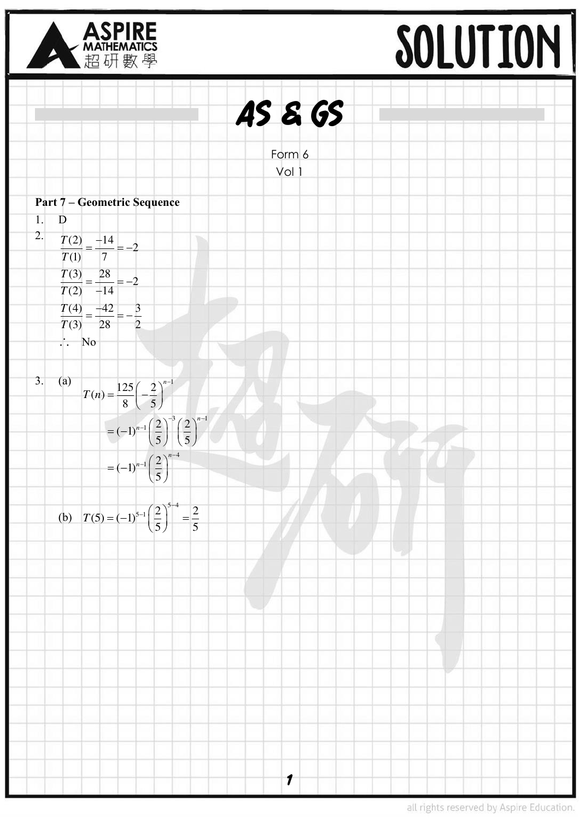



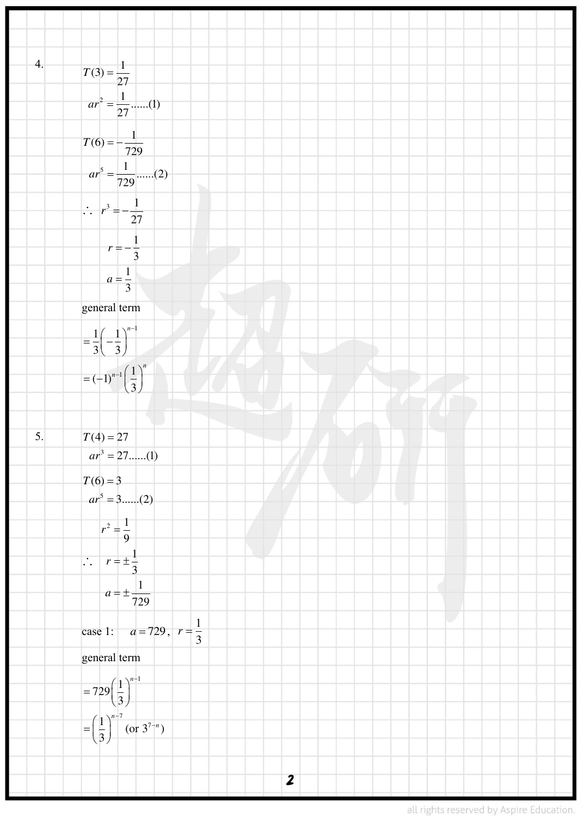4. 
$$
T(3) = \frac{1}{27}
$$
  
\n
$$
ar^{2} = \frac{1}{27} \dots 0
$$
  
\n
$$
T(6) = \frac{1}{729} \dots (2)
$$
  
\n
$$
\therefore r^{2} = \frac{1}{729} \dots (2)
$$
  
\n
$$
\therefore r^{2} = \frac{1}{27}
$$
  
\n
$$
r = -\frac{1}{3}
$$
  
\n
$$
a - \frac{1}{3}
$$
  
\n
$$
a - \frac{1}{3}
$$
  
\n
$$
= (-1)^{x} \cdot \left(\frac{1}{3}\right)^{x}
$$
  
\n
$$
= (-1)^{x} \cdot \left(\frac{1}{3}\right)^{x}
$$
  
\n
$$
= (-1)^{x} \cdot \left(\frac{1}{3}\right)^{x}
$$
  
\n
$$
= (-1)^{x} \cdot \left(\frac{1}{3}\right)^{x}
$$
  
\n
$$
= (-1)^{x} \cdot \left(\frac{1}{3}\right)^{x}
$$
  
\n
$$
= (-1)^{x} \cdot \left(\frac{1}{3}\right)^{x}
$$
  
\n
$$
= \frac{1}{9}
$$
  
\n
$$
\therefore r = \pm \frac{1}{3}
$$
  
\n
$$
a = \pm \frac{1}{729}
$$
  
\n
$$
a = 1
$$
  
\n
$$
= -229 \cdot \left(\frac{1}{3}\right)^{x}
$$
  
\n
$$
= \left(\frac{1}{3}\right)^{-1} (x + 3)^{x}
$$
  
\n
$$
= \left(\frac{1}{3}\right)^{-1} (x + 3)^{x}
$$
  
\n
$$
= \left(\frac{1}{3}\right)^{-1} (x + 3)^{x}
$$
  
\n2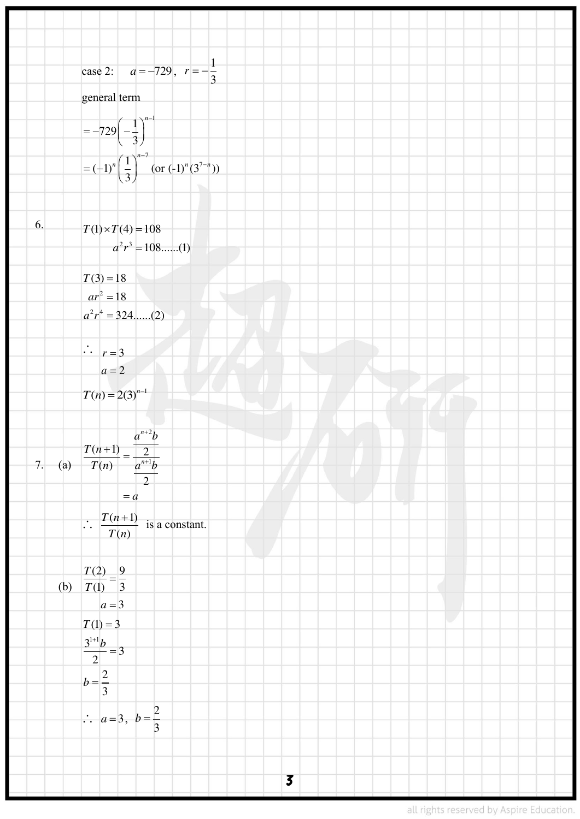case 2: 
$$
a = -729
$$
,  $r = -\frac{1}{3}$   
\ngeneral term  
\n $= -729(-\frac{1}{3})^{-1}$   
\n $= (-1)^n(\frac{1}{3})^{-3}$  (or (-1)^n (3<sup>2−1</sup>))  
\n6:  $T(1) \times T(4) = 108$   
\n $a^2r^2 = 188$ ....(1)  
\n $T(3) = 18$   
\n $a^2r^2 = 188$ ....(2)  
\n $a^2r^2 = 324$ ....(2)  
\n $\therefore r = -3$   
\n $a = 2$   
\n $T(n) = 2(3)^{n+1}$   
\n $= a$   
\n $T(n) = 2^{n+1}$   
\n $\therefore \frac{T(n+1)}{2} = \frac{2}{a-1b}$   
\n $\therefore \frac{T(n+1)}{T(n)} \text{ is a constant.}$   
\n(a)  $\frac{T(2)}{T(1)} = \frac{9}{3}$   
\n(b)  $\frac{T(1)}{T(1)} = \frac{3}{3}$   
\n $a = -3$   
\n $T(1) = 3$   
\n $a^2 = 3$   
\n $b = \frac{2}{3}$   
\n $\therefore a = 3, b = \frac{2}{3}$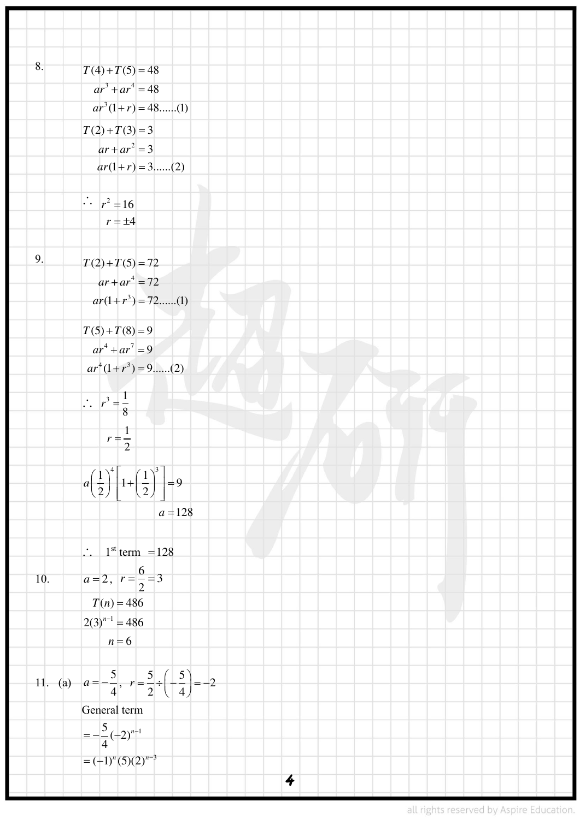| 8.  |                                                                                    |
|-----|------------------------------------------------------------------------------------|
|     | $T(4) + T(5) = 48$                                                                 |
|     | $ar^3 + ar^4 = 48$                                                                 |
|     | $ar^3(1+r) = 48$ (1)                                                               |
|     | $T(2) + T(3) = 3$                                                                  |
|     | $ar + ar^2 = 3$                                                                    |
|     | $ar(1+r) = 3(2)$                                                                   |
|     |                                                                                    |
|     | $\therefore \quad r^2 = 16$                                                        |
|     | $r = \pm 4$                                                                        |
|     |                                                                                    |
| 9.  | $T(2) + T(5) = 72$                                                                 |
|     | $ar + ar^4 = 72$                                                                   |
|     | $ar(1+r^3) = 72$ (1)                                                               |
|     | $T(5) + T(8) = 9$                                                                  |
|     | $ar^4 + ar^7 = 9$                                                                  |
|     | $ar^4(1+r^3) = 9$ (2)                                                              |
|     |                                                                                    |
|     | $\therefore r^3 = \frac{1}{8}$                                                     |
|     |                                                                                    |
|     | $r=\frac{1}{2}$                                                                    |
|     |                                                                                    |
|     | $a\left(\frac{1}{2}\right)^4 \left[1+\left(\frac{1}{2}\right)^3\right]=9$          |
|     |                                                                                    |
|     | $a = 128$                                                                          |
|     |                                                                                    |
|     | $\therefore$ 1 <sup>st</sup> term = 128                                            |
| 10. | $a=2, r=\frac{6}{2}=3$                                                             |
|     | $T(n) = 486$                                                                       |
|     | $2(3)^{n-1} = 486$                                                                 |
|     | $n=6$                                                                              |
|     |                                                                                    |
|     | 11. (a) $a = -\frac{5}{4}$ , $r = \frac{5}{2} \div \left(-\frac{5}{4}\right) = -2$ |
|     |                                                                                    |
|     | General term                                                                       |
|     | $=-\frac{5}{4}(-2)^{n-1}$                                                          |
|     | $= (-1)^n (5) (2)^{n-3}$                                                           |
|     | $\ddot{\bullet}$                                                                   |
|     |                                                                                    |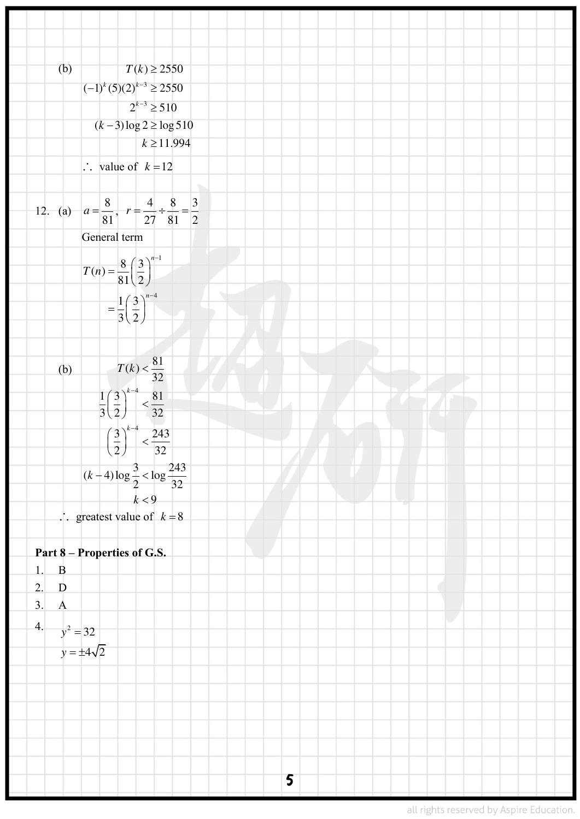(b) 
$$
T(k) \ge 2550
$$
  
\n $(-1)^{k}(5)(2)^{k-2} \ge 250$   
\n $2^{k-2} \ge 510$   
\n $(k-3)\log 2 \ge \log 510$   
\n $k \ge 11.994$   
\n $\therefore$  value of  $k-12$   
\n12. (a)  $a = \frac{8}{81}, r = \frac{4}{27}, \frac{8}{81}, \frac{-3}{2}$   
\n $\therefore$  General term  
\n
$$
T(n) = \frac{8}{81}(\frac{3}{2})^{n+1}
$$
  
\n
$$
T(n) = \frac{81}{81}(\frac{3}{2})^{n+1}
$$
  
\n
$$
= \frac{1}{3}(\frac{3}{2})^{n+1} < \frac{81}{32}
$$
  
\n
$$
= \frac{1}{3}(\frac{3}{2})^{n+1} < \frac{81}{32}
$$
  
\n
$$
= \frac{1}{3}(\frac{3}{2})^{n+1} < \frac{81}{32}
$$
  
\n $(k+4)\log \frac{3}{2} < \log \frac{243}{32}$   
\n $\therefore$  greatest value of  $k = 8$   
\nPart 8 = Properties of G.S.  
\n1. B  
\n2. D  
\n3. A  
\n4.  $y^2 = 32$   
\n $y = \pm 4\sqrt{2}$   
\n5